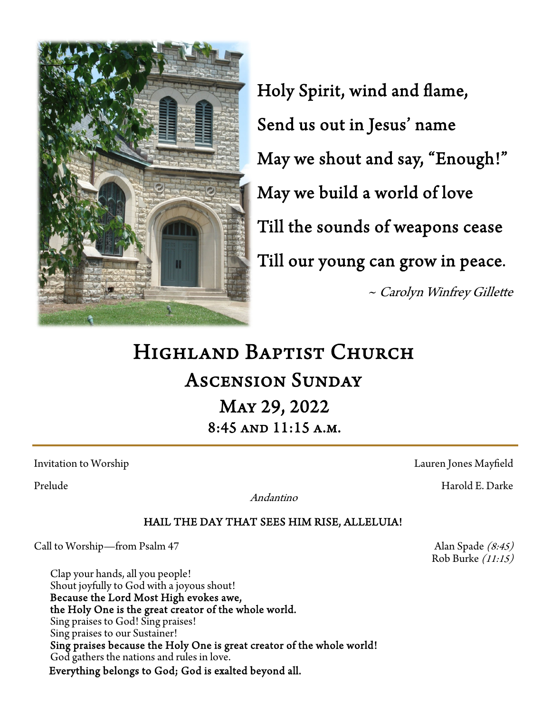

Holy Spirit, wind and flame, Send us out in Jesus' name May we shout and say, "Enough!" May we build a world of love Till the sounds of weapons cease Till our young can grow in peace. ~ Carolyn Winfrey Gillette

# Highland Baptist Church Ascension Sunday May 29, 2022 8:45 and 11:15 a.m.

Andantino

## HAIL THE DAY THAT SEES HIM RISE, ALLELUIA!

Call to Worship—from Psalm 47  $\qquad \qquad$  Alan Spade (8:45)

Clap your hands, all you people! Shout joyfully to God with a joyous shout! Because the Lord Most High evokes awe, the Holy One is the great creator of the whole world. Sing praises to God! Sing praises! Sing praises to our Sustainer! Sing praises because the Holy One is great creator of the whole world! God gathers the nations and rules in love. Everything belongs to God; God is exalted beyond all.

Invitation to Worship Lauren Jones Mayfield

Prelude Harold E. Darke

Rob Burke (11:15)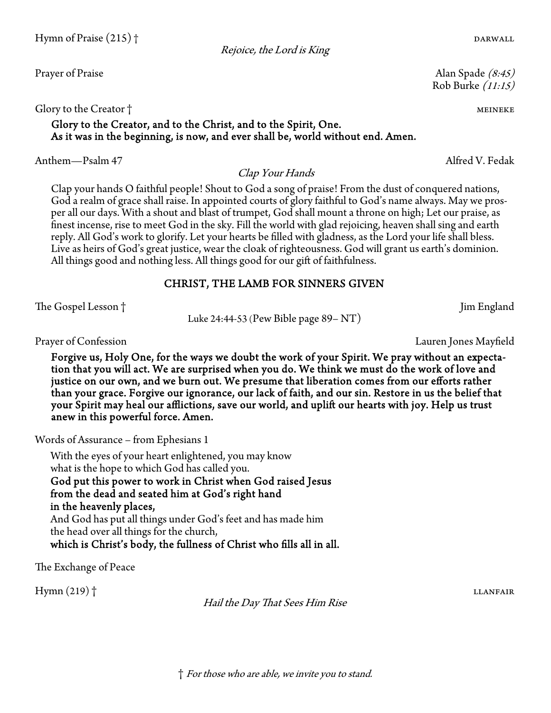Glory to the Creator † meine the control of the control of the control of the control of the control of the control of the control of the control of the control of the control of the control of the control of the control o

## Glory to the Creator, and to the Christ, and to the Spirit, One. As it was in the beginning, is now, and ever shall be, world without end. Amen.

Anthem—Psalm 47 Alfred V. Fedak

Clap your hands O faithful people! Shout to God a song of praise! From the dust of conquered nations, God a realm of grace shall raise. In appointed courts of glory faithful to God's name always. May we prosper all our days. With a shout and blast of trumpet, God shall mount a throne on high; Let our praise, as finest incense, rise to meet God in the sky. Fill the world with glad rejoicing, heaven shall sing and earth reply. All God's work to glorify. Let your hearts be filled with gladness, as the Lord your life shall bless. Live as heirs of God's great justice, wear the cloak of righteousness. God will grant us earth's dominion. All things good and nothing less. All things good for our gift of faithfulness.

Clap Your Hands

Rejoice, the Lord is King

## CHRIST, THE LAMB FOR SINNERS GIVEN

The Gospel Lesson † Jim England

Luke 24:44-53 (Pew Bible page 89– NT)

Forgive us, Holy One, for the ways we doubt the work of your Spirit. We pray without an expectation that you will act. We are surprised when you do. We think we must do the work of love and justice on our own, and we burn out. We presume that liberation comes from our efforts rather than your grace. Forgive our ignorance, our lack of faith, and our sin. Restore in us the belief that your Spirit may heal our afflictions, save our world, and uplift our hearts with joy. Help us trust anew in this powerful force. Amen.

Words of Assurance – from Ephesians 1

With the eyes of your heart enlightened, you may know what is the hope to which God has called you. God put this power to work in Christ when God raised Jesus from the dead and seated him at God's right hand in the heavenly places, And God has put all things under God's feet and has made him the head over all things for the church, which is Christ's body, the fullness of Christ who fills all in all.

The Exchange of Peace

Hymn (219) † llanfair

Hail the Day That Sees Him Rise

Prayer of Confession Lauren Jones Mayfield

Prayer of Praise Alan Spade (8:45) Rob Burke (11:15)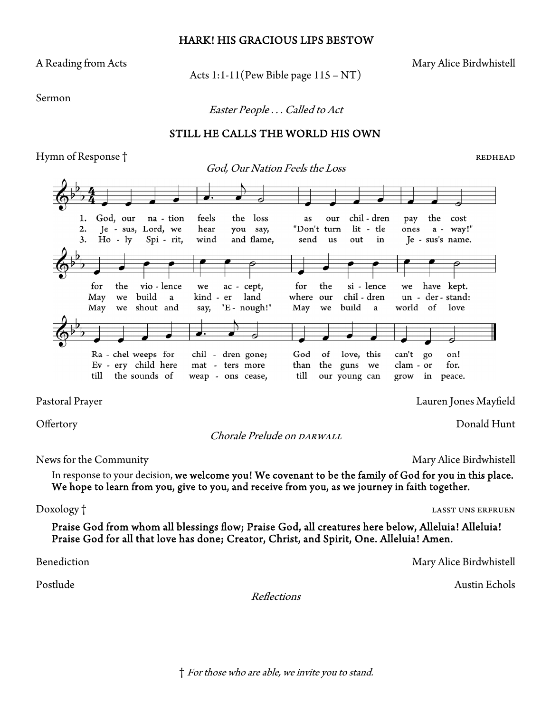### HARK! HIS GRACIOUS LIPS BESTOW

Acts  $1:1-11$  (Pew Bible page  $115 - NT$ )

A Reading from Acts **Mary Alice Birdwhistell** 

Sermon

Easter People . . . Called to Act

## STILL HE CALLS THE WORLD HIS OWN

Hymn of Response † redhead in the settlement of Response in the settlement of Response  $\uparrow$ 



Pastoral Prayer Lauren Jones Mayfield

Offertory Donald Hunt

Chorale Prelude on DARWALL

News for the Community **Mary Alice Birdwhistell** Mary Alice Birdwhistell

In response to your decision, we welcome you! We covenant to be the family of God for you in this place. We hope to learn from you, give to you, and receive from you, as we journey in faith together.

Doxology † lasst uns erfruen in the lasst uns experience of the lasst uns erfruence of the lasst uns erfruence

Praise God from whom all blessings flow; Praise God, all creatures here below, Alleluia! Alleluia! Praise God for all that love has done; Creator, Christ, and Spirit, One. Alleluia! Amen.

Reflections

Benediction Mary Alice Birdwhistell

Postlude Austin Echols